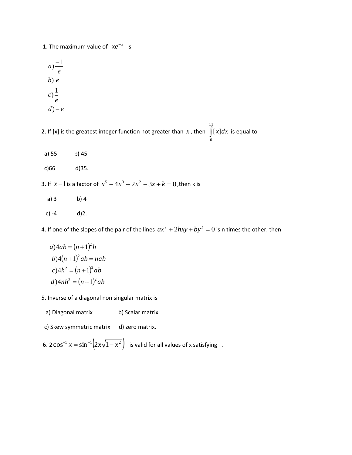1. The maximum value of  $xe^{-x}$  is

$$
a) \frac{-1}{e}
$$
  
b) e  
c)  $\frac{1}{e}$   
d) - e

2. If [x] is the greatest integer function not greater than  $x$  , then  $\int$ 11 0 [*x*]*dx* is equal to

- a) 55 b) 45
- c)66 d)35.
- 3. If  $x-1$  is a factor of  $x^5 4x^3 + 2x^2 3x + k = 0$ , then k is
	- a) 3 b) 4
- c)  $-4$  d) 2.

4. If one of the slopes of the pair of the lines  $ax^2 + 2hxy + by^2 = 0$  is n times the other, then

$$
a)4ab = (n+1)2 h
$$
  
\n
$$
b)4(n+1)2 ab = nab
$$
  
\n
$$
c)4h2 = (n+1)2 ab
$$
  
\n
$$
d)4nh2 = (n+1)2 ab
$$

- 5. Inverse of a diagonal non singular matrix is
	- a) Diagonal matrix b) Scalar matrix
- c) Skew symmetric matrix d) zero matrix.
- 6.  $2\cos^{-1} x = \sin^{-1}\left(2x\sqrt{1-x^2}\right)$  is valid for all values of x satisfying.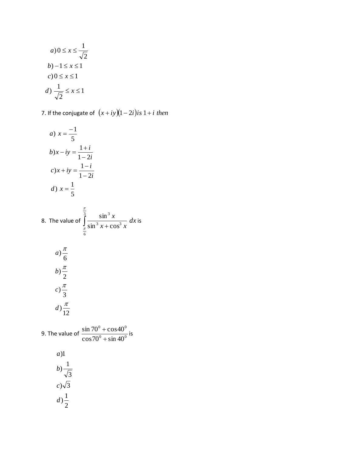$$
a) 0 \le x \le \frac{1}{\sqrt{2}}
$$
  

$$
b) -1 \le x \le 1
$$
  

$$
c) 0 \le x \le 1
$$
  

$$
d) \frac{1}{\sqrt{2}} \le x \le 1
$$

7. If the conjugate of  $(x+iy)(1-2i)$  is  $1+i$  then

a) 
$$
x = \frac{-1}{5}
$$
  
\nb)  $x - iy = \frac{1+i}{1-2i}$   
\nc)  $x + iy = \frac{1-i}{1-2i}$   
\nd)  $x = \frac{1}{5}$ 

8. The value of 
$$
\int_{\frac{\pi}{6}}^{\frac{\pi}{3}} \frac{\sin^3 x}{\sin^3 x + \cos^3 x} dx
$$
 is  
\n
$$
a) \frac{\pi}{6}
$$
  
\n
$$
b) \frac{\pi}{2}
$$
  
\n
$$
c) \frac{\pi}{3}
$$
  
\n
$$
d) \frac{\pi}{12}
$$
  
\n9. The value of 
$$
\frac{\sin 70^0 + \cos 40^0}{\cos 70^0 + \sin 40^0}
$$
 is

a)1  
\nb) 
$$
\frac{1}{\sqrt{3}}
$$
  
\nc)  $\sqrt{3}$   
\nd)  $\frac{1}{2}$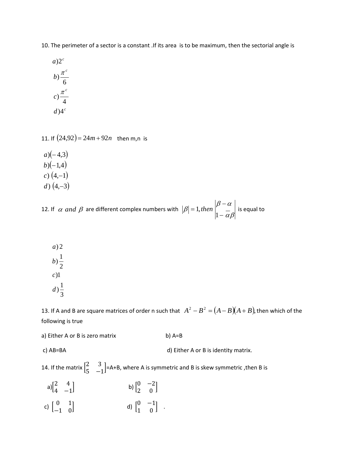10. The perimeter of a sector is a constant .If its area is to be maximum, then the sectorial angle is

$$
a)2^{c}
$$
  
\n
$$
b) \frac{\pi^{c}}{6}
$$
  
\n
$$
c) \frac{\pi^{c}}{4}
$$
  
\n
$$
d)4^{c}
$$

11. If  $(24.92) = 24m + 92n$  then m,n is

 $a) (-4,3)$  $b$ ) $(-1,4)$  $c)$  (4,–1)  $d)$  (4,–3)

12. If  $\alpha$  and  $\beta$  are different complex numbers with  $\alpha\beta$  $\beta-\alpha$  $_{\beta}$  $\overline{a}$  $\overline{a}$  $=$ 1 1, then  $\begin{bmatrix} 1 \end{bmatrix}$  is equal to

3  $d) \frac{1}{2}$ )1 *c* 2  $(b) \frac{1}{2}$ ) 2 *a*

13. If A and B are square matrices of order n such that  $A^2 - B^2 = (A - B)(A + B)$ , then which of the following is true

a) Either A or B is zero matrix b) A=B

c) AB=BA d) Either A or B is identity matrix.

14. If the matrix  $\begin{bmatrix} 2 & 3 \\ 7 & 3 \end{bmatrix}$  $\begin{bmatrix} 2 & 3 \\ 5 & -1 \end{bmatrix}$ =A+B, where A is symmetric and B is skew symmetric , then B is

a) $\begin{bmatrix} 2 & 4 \\ 4 & 2 \end{bmatrix}$  $\begin{bmatrix} 2 & -1 \\ 4 & -1 \end{bmatrix}$  b)  $0 -2$  $\begin{bmatrix} 0 & 2 \\ 2 & 0 \end{bmatrix}$ c)  $\begin{bmatrix} 0 & 1 \\ 1 & 0 \end{bmatrix}$ −1 0  $\begin{bmatrix} 0 & -1 \\ 1 & 0 \end{bmatrix}$  $\begin{bmatrix} 0 & -1 \\ 1 & 0 \end{bmatrix}$ .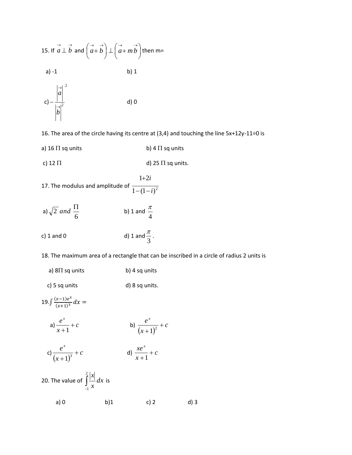

16. The area of the circle having its centre at (3,4) and touching the line 5x+12y-11=0 is

- a) 16  $\Pi$  sq units b) 4  $\Pi$  sq units
- c) 12  $\Pi$  d) 25  $\Pi$  sq units.
- 17. The modulus and amplitude of  $\frac{1 (1 i)^2}{1 (1 i)^2}$  $1 + 2$ *i i*  $-(1 \ddot{}$
- a)  $\sqrt{2}$  and  $\frac{12}{6}$  $\frac{1}{2}$  and  $\frac{11}{4}$ b) 1 and 4 π
- c)  $1$  and  $0$ 3  $\frac{\pi}{\cdot}$ .

18. The maximum area of a rectangle that can be inscribed in a circle of radius 2 units is

a)  $8\Pi$  sq units b) 4 sq units c) 5 sq units d) 8 sq units.

| 19. $\int \frac{(x-1)e^x}{(x+1)^3} dx =$            |     |                                |      |
|-----------------------------------------------------|-----|--------------------------------|------|
| a) $\frac{e^x}{x+1} + c$                            |     | b) $\frac{e^{x}}{(x+1)^2} + c$ |      |
| c) $\frac{e^{x}}{(x+1)^3} + c$                      |     | d) $\frac{xe^x}{x+1} + c$      |      |
| 20. The value of $\int_{1}^{2} \frac{ x }{x} dx$ is |     |                                |      |
| a) 0                                                | b)1 | c) 2                           | d) 3 |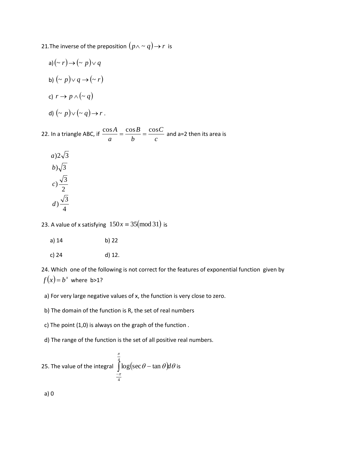21.The inverse of the preposition  $(p\wedge \mathtt{\small <} q) \!\to\! r$  is

a) 
$$
(-r) \rightarrow (-p) \lor q
$$
  
\nb)  $(-p) \lor q \rightarrow (-r)$   
\nc)  $r \rightarrow p \land (-q)$   
\nd)  $(-p) \lor (-q) \rightarrow r$ .

22. In a triangle ABC, if  $\frac{cos\theta}{a} = \frac{cos\theta}{b} = \frac{cos\theta}{c}$ *C b B a*  $\frac{\cos A}{\cos A} = \frac{\cos B}{\cos A} = \frac{\cos C}{\cos A}$  and a=2 then its area is

$$
a)2\sqrt{3}
$$
  
\n
$$
b)\sqrt{3}
$$
  
\n
$$
c)\frac{\sqrt{3}}{2}
$$
  
\n
$$
d)\frac{\sqrt{3}}{4}
$$

23. A value of x satisfying  $150x \equiv 35 \pmod{31}$  is

- a) 14 b) 22
- c) 24 d) 12.

24. Which one of the following is not correct for the features of exponential function given by  $f(x)=b^x$  where b>1?

- a) For very large negative values of x, the function is very close to zero.
- b) The domain of the function is R, the set of real numbers
- c) The point (1,0) is always on the graph of the function .
- d) The range of the function is the set of all positive real numbers.

25. The value of the integral 
$$
\int_{-\pi}^{\frac{\pi}{4}} \log(\sec \theta - \tan \theta) d\theta
$$
 is

a) 0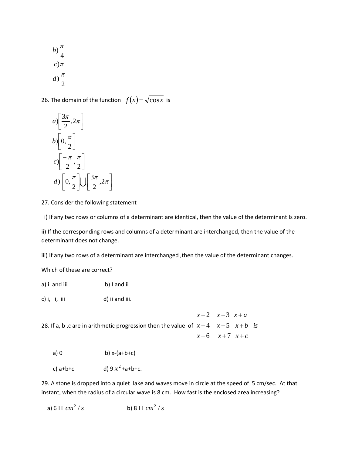$$
b) \frac{\pi}{4}
$$

$$
c) \pi
$$

$$
d) \frac{\pi}{2}
$$

26. The domain of the function  $f(x) = \sqrt{\cos x}$  is

 $\rfloor$  $\overline{\phantom{a}}$ 

$$
a) \left[ \frac{3\pi}{2}, 2\pi \right]
$$
  
\n
$$
b) \left[ 0, \frac{\pi}{2} \right]
$$
  
\n
$$
c) \left[ -\frac{\pi}{2}, \frac{\pi}{2} \right]
$$
  
\n
$$
d) \left[ 0, \frac{\pi}{2} \right] \cup \left[ \frac{3\pi}{2}, 2\pi \right]
$$

27. Consider the following statement

i) If any two rows or columns of a determinant are identical, then the value of the determinant Is zero.

ii) If the corresponding rows and columns of a determinant are interchanged, then the value of the determinant does not change.

iii) If any two rows of a determinant are interchanged, then the value of the determinant changes.

Which of these are correct?

- a) i and iii b) I and ii
- c) i, ii, iii d) ii and iii.

28. If a, b ,c are in arithmetic progression then the value  $|x+4 - x+5 - x+b|$  is  $x+6$   $x+7$   $x+c$  $x+4$   $x+5$   $x+b$  $x+2$   $x+3$   $x+a$  $+6$   $x+7$   $x+$  $+4$   $x+5$   $x+$  $+2$   $x+3$   $x+$ 6  $x+7$ 4  $x+5$ 2  $x+3$ 

a) 0 b)  $x-(a+b+c)$ 

c)  $a+b+c$  $x^2$ +a+b+c.

29. A stone is dropped into a quiet lake and waves move in circle at the speed of 5 cm/sec. At that instant, when the radius of a circular wave is 8 cm. How fast is the enclosed area increasing?

a) 6  $\Pi$   $cm^2$  /  $s$ b) 8  $\Pi$   $cm^2$  /  $s$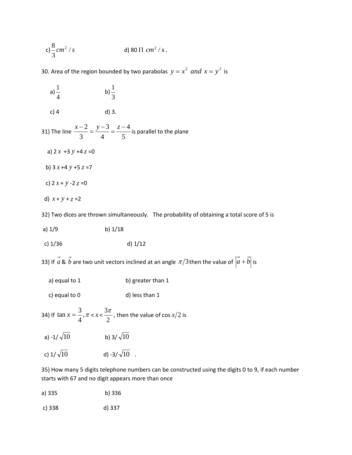c) 
$$
\frac{8}{3} cm^2 / s
$$
 d) 80  $\Pi$  cm<sup>2</sup>/s.

30. Area of the region bounded by two parabolas  $y = x^2$  and  $x = y^2$  is

| a) $\frac{1}{4}$      | b) $\frac{1}{3}$                                                                            |                                                                                                                         |
|-----------------------|---------------------------------------------------------------------------------------------|-------------------------------------------------------------------------------------------------------------------------|
| $c)$ 4                | d) 3.                                                                                       |                                                                                                                         |
|                       | 31) The line $\frac{x-2}{3} = \frac{y-3}{4} = \frac{z-4}{5}$ is parallel to the plane       |                                                                                                                         |
| a) $2x + 3y + 4z = 0$ |                                                                                             |                                                                                                                         |
| b) $3x + 4y + 5z = 7$ |                                                                                             |                                                                                                                         |
| c) $2x + y - 2z = 0$  |                                                                                             |                                                                                                                         |
| d) $x + y + z = 2$    |                                                                                             |                                                                                                                         |
|                       |                                                                                             | 32) Two dices are thrown simultaneously. The probability of obtaining a total score of 5 is                             |
| a) $1/9$              | b) $1/18$                                                                                   |                                                                                                                         |
| c) $1/36$             | $d)$ 1/12                                                                                   |                                                                                                                         |
|                       |                                                                                             | 33) If $\vec{a}$ & $\vec{b}$ are two unit vectors inclined at an angle $\pi/3$ then the value of $ \vec{a}+\vec{b} $ is |
| a) equal to 1         | b) greater than 1                                                                           |                                                                                                                         |
| c) equal to 0         | d) less than 1                                                                              |                                                                                                                         |
|                       | 34) If $\tan x = \frac{3}{4}$ , $\pi < x < \frac{3\pi}{2}$ , then the value of cos $x/2$ is |                                                                                                                         |
| a) -1/ $\sqrt{10}$    | b) 3/ $\sqrt{10}$                                                                           |                                                                                                                         |

c) 1/  $\sqrt{10}$ d) -3/ $\sqrt{10}$  .

35) How many 5 digits telephone numbers can be constructed using the digits 0 to 9, if each number starts with 67 and no digit appears more than once

| a) 335 | b) 336 |  |
|--------|--------|--|
|        |        |  |

c) 338 d) 337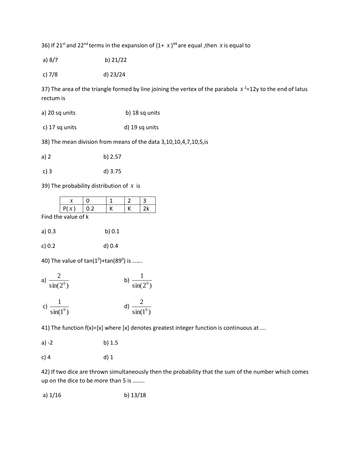36) If 21<sup>st</sup> and 22<sup>nd</sup> terms in the expansion of  $(1 + x)^{44}$  are equal ,then x is equal to

- a) 8/7 b) 21/22
- c) 7/8 d) 23/24

37) The area of the triangle formed by line joining the vertex of the parabola  $x^2$ =12y to the end of latus rectum is

- a) 20 sq units b) 18 sq units
- c) 17 sq units d) 19 sq units

38) The mean division from means of the data 3,10,10,4,7,10,5,is

| a) 2 | b) 2.57 |
|------|---------|
|------|---------|

c) 3 d) 3.75

39) The probability distribution of *x* is

| . . | . . |  |  |
|-----|-----|--|--|

Find the value of k

| a) 0.3 | b) $0.1$ |
|--------|----------|
|--------|----------|

c) 0.2 d) 0.4

40) The value of  $\tan(1^0)$ + $\tan(89^0)$  is .......

a) 
$$
\frac{2}{\sin(2^0)}
$$
  
b)  $\frac{1}{\sin(2^0)}$   
c)  $\frac{1}{\sin(1^0)}$   
d)  $\frac{2}{\sin(1^0)}$ 

41) The function  $f(x) = [x]$  where [x] denotes greatest integer function is continuous at ....

| a) -2 | b) $1.5$ |
|-------|----------|
|-------|----------|

## c) 4 d) 1

42) If two dice are thrown simultaneously then the probability that the sum of the number which comes up on the dice to be more than 5 is ……..

a)  $1/16$  b)  $13/18$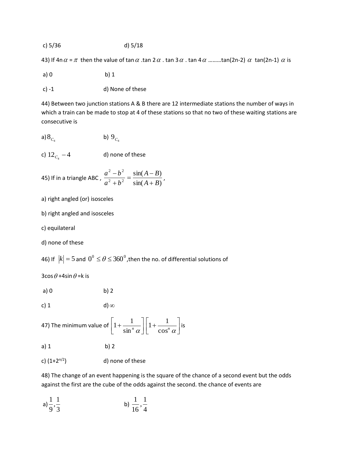c) 
$$
5/36
$$
 d)  $5/18$ 

43) If 4n  $\alpha$  =  $\pi$  then the value of tan  $\alpha$  .tan 2  $\alpha$  . tan 3  $\alpha$  . tan 4  $\alpha$  .........tan(2n-2)  $\alpha$  tan(2n-1)  $\alpha$  is

a) 0 b) 1

c) -1 d) None of these

44) Between two junction stations A & B there are 12 intermediate stations the number of ways in which a train can be made to stop at 4 of these stations so that no two of these waiting stations are consecutive is

a) 
$$
8_{C_4}
$$
 b)  $9_{C_4}$ 

c) 
$$
12_{C_4} - 4
$$
 d) none of these

45) If in a triangle ABC, 
$$
\frac{a^2 - b^2}{a^2 + b^2} = \frac{\sin(A - B)}{\sin(A + B)}
$$
,

a) right angled (or) isosceles

b) right angled and isosceles

c) equilateral

d) none of these

46) If 
$$
|k| = 5
$$
 and  $0^0 \le \theta \le 360^0$ , then the no. of differential solutions of

 $3\cos\theta$  +4sin  $\theta$  =k is

a) 0 b) 2

c) 1 d) 
$$
\infty
$$

47) The minimum value of 
$$
\left[1 + \frac{1}{\sin^n \alpha}\right] \left[1 + \frac{1}{\cos^n \alpha}\right]
$$
 is

a) 1 b) 2

c)  $(1+2^{n/2})$  d) none of these

48) The change of an event happening is the square of the chance of a second event but the odds against the first are the cube of the odds against the second. the chance of events are

a) 
$$
\frac{1}{9}, \frac{1}{3}
$$
 b)  $\frac{1}{16}, \frac{1}{4}$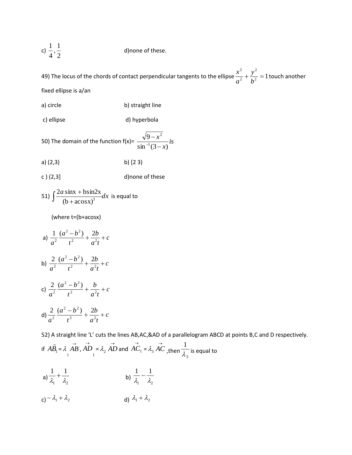c) 
$$
\frac{1}{4}
$$
,  $\frac{1}{2}$  d) none of these.

49) The locus of the chords of contact perpendicular tangents to the ellipse  $\frac{x}{a^2} + \frac{y}{b^2} = 1$ 2 2 2  $+\frac{y}{12}$  = *b y a*  $\frac{x^2}{2} + \frac{y^2}{12} = 1$  touch another fixed ellipse is a/an

- a) circle b) straight line
- c) ellipse d) hyperbola

50) The domain of the function 
$$
f(x) = \frac{\sqrt{9 - x^2}}{\sin^{-1}(3 - x)} is
$$

- a) (2,3) b) [2 3)
- c ) (2,3] d)none of these

51) 
$$
\int \frac{2a \sin x + b \sin 2x}{(b + a \cos x)^3} dx
$$
 is equal to

(where t=(b+acosx)

a) 
$$
\frac{1}{a^2} \frac{(a^2 - b^2)}{t^2} + \frac{2b}{a^2t} + c
$$
  
\nb) 
$$
\frac{2}{a^2} \frac{(a^2 - b^2)}{t^2} + \frac{2b}{a^2t} + c
$$
  
\nc) 
$$
\frac{2}{a^2} \frac{(a^2 - b^2)}{t^2} + \frac{b}{a^2t} + c
$$
  
\nd) 
$$
\frac{2}{a^2} \frac{(a^2 - b^2)}{t^3} + \frac{2b}{a^2t} + c
$$

52) A straight line 'L' cuts the lines AB,AC,&AD of a parallelogram ABCD at points B,C and D respectively. if  $AB_1$  $\rightarrow$ = *AB*  $\lambda\displaystyle\mathop{AB}\limits_{1}$  ,  $\displaystyle\mathop{AD}\limits_{1}$  $\overrightarrow{AD} = \lambda_2 \overrightarrow{AD}$  and  $\overrightarrow{AC}_1 = \lambda_3 \overrightarrow{AC}$ , then  $\frac{1}{\lambda_3}$ 1  $\overline{\lambda_{\circ}}$  is equal to a)  $\overline{\lambda_1}$  +  $\overline{\lambda_2}$  $1 \t1$  $\frac{1}{\lambda} + \frac{1}{\lambda}$ b)  $\overline{\lambda_1} - \overline{\lambda_2}$ 1 1  $\frac{1}{\lambda} - \frac{1}{\lambda}$ 

c)  $-\lambda_1 + \lambda_2$ d)  $\lambda_1 + \lambda_2$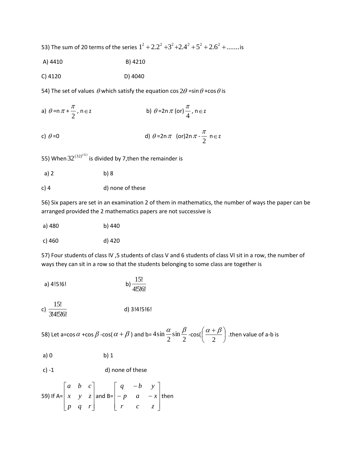53) The sum of 20 terms of the series  $1^2+2.2^2+3^2+2.4^2+5^2+2.6^2+......$  is

A) 4410 B) 4210

C) 4120 D) 4040

54) The set of values  $\theta$  which satisfy the equation cos  $2\theta$  =sin $\theta$  +cos  $\theta$  is

a) 
$$
\theta = n\pi + \frac{\pi}{2}
$$
,  $n \in \mathbb{Z}$    
b)  $\theta = 2n\pi$  (or)  $\frac{\pi}{4}$ ,  $n \in \mathbb{Z}$ 

c) 
$$
\theta = 0
$$
 d)  $\theta = 2n \pi$  (or)  $2n \pi - \frac{\pi}{2} n \in \mathbb{Z}$ 

55) When  $32^{(32)^{(32)}}$  is divided by 7,then the remainder is

- a) 2 b) 8
- c) 4 d) none of these

56) Six papers are set in an examination 2 of them in mathematics, the number of ways the paper can be arranged provided the 2 mathematics papers are not successive is

| a) 480 | b) 440 |
|--------|--------|
|--------|--------|

c) 
$$
460
$$
 d)  $420$ 

57) Four students of class IV ,5 students of class V and 6 students of class VI sit in a row, the number of ways they can sit in a row so that the students belonging to some class are together is

a) 4!5!6!  
b) 
$$
\frac{15!}{4!5!6!}
$$

c)  $\frac{10!}{3!4!5!6!}$ 15! d) 3!4!5!6!

58) Let a=cos  $\alpha$  +cos  $\beta$  -cos(  $\alpha + \beta$  ) and b=  $4\sin{\frac{\alpha}{2}}\sin{\frac{\beta}{2}}$ sin 2  $4\sin\frac{\alpha}{2}\sin\frac{\beta}{2}$ -cos( $\left(\frac{\alpha+\beta}{2}\right)$ J  $\left(\frac{\alpha+\beta}{2}\right)$  $\setminus$  $\int \alpha +$ 2  $\left(\frac{\alpha+\beta}{2}\right)$  .then value of a-b is

| a)0 | $b)$ 1 |
|-----|--------|
|-----|--------|

c) -1 d) none of these

59) If 
$$
A = \begin{bmatrix} a & b & c \\ x & y & z \\ p & q & r \end{bmatrix}
$$
 and  $B = \begin{bmatrix} q & -b & y \\ -p & a & -x \\ r & c & z \end{bmatrix}$  then